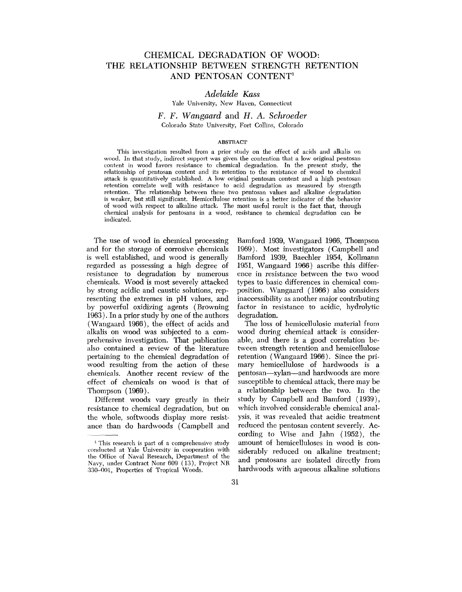# CHEMICAL DEGRADATION OF WOOD: THE RELATIONSHIP BETWEEN STRENGTH RETENTION AND PENTOSAN CONTENT1

# **Adelaide** *Kass*

Yale University, New Haven, Connecticut

# *F. F.* **Wangaard** and *H.* **A. Schroeder**  Colorado State University, Fort Collins, Colorado

#### ABSTRACT

This investigation resulted from a prior study on the effect of acids and alkalis on wood. In that study, indirect support was given the contention that a low original pentosan content in wood favors resistance to chemical degradation. In the present study, the relationship of pentosan content and its retention to the resistance of wood to chemical attack is quantitatively established. **A** low original pentosan content and a high pentosan retention correlate well with resistance to acid degradation as measured by strength retention. The relationship between these two pentosan values and alkaline degradation is weaker, but still significant. Hemicellulose retention is a better indicator of the behavior of wood with respect to alkaline attack. The most useful result is the fact that, through chemical analysis for pentosans in a wood, resistance to chemical degradation can be indicated.

The use of wood in chemical processing and for the storage of corrosive chemicals is well established, and wood is generally regarded as possessing a high degree of resistance to degradation by numerous chemicals. Wood is most severely attacked by strong acidic and caustic solutions, representing the extremes in pH values, and by powerful oxidizing agents (Browning 1963). In a prior study by one of the authors ( Wangaard 1966), the effect of acids and alkalis on wood was subjected to a comprehensive investigation. That publication also contained a review of the literature pertaining to the chemical degradation of wood resulting from the action of these chemicals. Another recent review of the effect of chemicals on wood is that of Thompson ( 1969).

Different woods vary greatly in their resistance to chemical degradation, but on the whole, softwoods display more resistance than do hardwoods (Campbell and

Bamford 1939, Wangaard 1966, Thompson 1969). Most investigators ( Campbell and Bamford 1939, Baechler 1954, Kollmann 1951, Wangaard 1966) ascribe this difference in resistance between the two wood types to basic differences in chemical composition. Wangaard (1966) also considers inaccessibility as another major contributing factor in resistance to acidic, hydrolytic degradation.

The loss of hemicellulosic material from wood during chemical attack is considerable, and there is a good correlation between strength retention and hemicellulose retention ( Wangaard 1966). Since the primary hemicellulose of hardwoods is a pentosan-xylan-and hardwoods are more susceptible to chemical attack, there may be a relationship between the two. In the study by Campbell and Bamford (1939), which involved considerable chemical analysis, it was revealed that acidic treatment reduced the pentosan content severely. According to Wise and Jahn (1952), the amount of hemicelluloses in wood is considerably reduced on alkaline treatment; and pentosans are isolated directly from hardwoods with aqueous alkaline solutions

<sup>&</sup>lt;sup>1</sup> This research is part of a comprehensive study conducted at Yale University in cooperation with the Office of Naval Research, Department of the Navy, under Contract Nonr 609 **(13),** Project NR 330-001, Properties of Tropical Woods.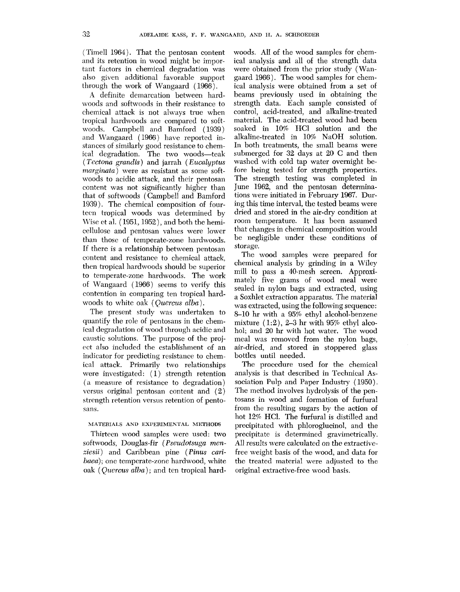(Time11 1964). That the pentosan content and its retention in wood might be important factors in chemical degradation was also given additional favorable support through the work of Wangaard (1966).

A definite demarcation between hardwoods and softwoods in their resistance to chemical attack is not always true when tropical hardwoods are compared to softwoods. Campbell and Bamford ( 1939 ) and Wangaard (1966) have reported instances of similarly good resistance to chemical degradation. The two woods-teak ( $Tectona$  grandis) and jarrah (Eucalyptus marginata) were as resistant as some softwoods to acidic attack, and their pentosan content was not significantly higher than that of softwoods (Campbell and Bamford 1939). The chemical composition of fourteen tropical woods was determined by Wise et al.  $(1951,1952)$ , and both the hemicellulose and pentosan values were lower than those of temperate-zone hardwoods. If there is a relationship between pentosan content and resistance to chemical attack, then tropical hardwoods should be superior to temperate-zone hardwoods. The work of Wangaard (1966) seems to verify this contention in comparing ten tropical hardwoods to white oak *(Quercus alba)*.

The present study was undertaken to quantify the role of pentosans in the chemical degradation of wood through acidic and caustic solutions. The purpose of the project also included the establishment of an indicator for predicting resistance to chemical attack. Primarily two relationships were investigated: (1) strength retention (a measure of resistance to degradation) versus original pentosan content and  $(2)$ strength retention versus retention of pentosans.

# MATERIALS AND EXPERIMENTAL METHODS

Thirteen wood samples were used: two softwoods, Douglas-fir ( Pseudotsuga *men*ziesii) and Caribbean pine **(Pinus** carihaea); one temperate-zone hardwood, white oak ( *Quercus* alba) ; and ten tropical hardwoods. A11 of the wood samples for chemical analysis and all of the strength data were obtained from the prior study (Wangaard 1966). The wood samples for chemical analysis were obtained from a set of beams previously used in obtaining the strength data. Each sample consisted of control, acid-treated, and alkaline-treated material. The acid-treated wood had been soaked in 10% HC1 solution and the alkaline-treated in 10% NaOH solution. In both treatments, the small beams were submerged for 32 days at 20 *C* and then washed with cold tap water overnight before being tested for strength properties. The strength testing was completed in June 1962, and the pentosan determinations were initiated in February 1967. During this time interval, the tested beams were dried and stored in the air-dry condition at room temperature. It has been assumed that changes in chemical composition would be negligible under these conditions of storage.

The wood samples were prepared for chemical analysis by grinding in a Wiley mill to pass a 40-mesh screen. Approximately five grams of wood meal were sealed in nylon bags and extracted, using a Soxhlet extraction apparatus. The material was extracted, using the following sequence: 8-10 hr with a 95% ethyl alcohol-benzene mixture ( 1:2), **2-3** hr with 95% ethyl alcohol; and 20. hr with hot water. The wood meal was removed from the nylon bags, air-dried, and stored in stoppered glass bottles until needed.

The procedure used for the chemical analysis is that described in Technical Association Pulp and Paper Industry (1950). The method involves hydrolysis of the pentosans in wood and formation of furfural from the resulting sugars by the action of hot 12% HCI. The furfural is distilled and precipitated with phloroglucinol, and the precipitate is determined gravimetrically. All results were calculated on the extractivefree weight basis of the wood, and data for the treated material were adjusted to the original extractive-free wood basis.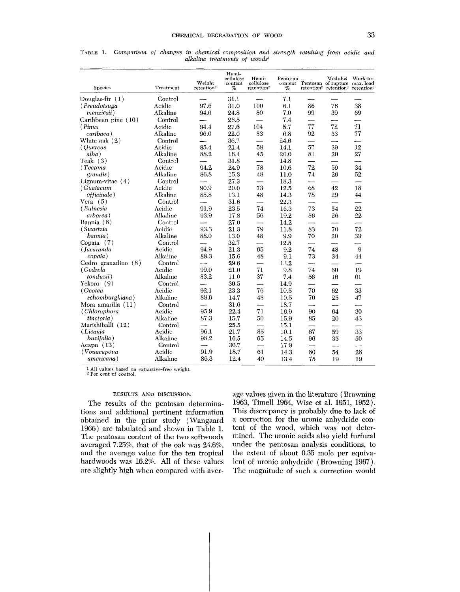| <b>Species</b>      | Treatment | Weight<br>retention <sup>2</sup> | Hemi-<br>cellulose<br>content<br>% | Hemi-<br>cellulose<br>retention <sup>2</sup> | Pentosan<br>content<br>% |    | Modulus<br>Pentosan of rupture max. load<br>retention <sup>2</sup> retention <sup>2</sup> | Work-to-<br>retention <sup>2</sup> |
|---------------------|-----------|----------------------------------|------------------------------------|----------------------------------------------|--------------------------|----|-------------------------------------------------------------------------------------------|------------------------------------|
| Douglas-fir $(1)$   | Control   |                                  | 31.1                               |                                              | 7.1                      |    |                                                                                           |                                    |
| (Pseudotsuga        | Acidic    | 97.6                             | 31.0                               | 100                                          | 6.1                      | 86 | 76                                                                                        | 38                                 |
| menziesii)          | Alkaline  | 94.0                             | 24.8                               | 80                                           | 7.0                      | 99 | 39                                                                                        | 69                                 |
| Caribbean pine (10) | Control   |                                  | 26.5                               |                                              | 7.4                      |    |                                                                                           |                                    |
| (Pinus              | Acidic    | 94.4                             | 27.6                               | 104                                          | 5.7                      | 77 | 72                                                                                        | 71                                 |
| caribaea)           | Alkaline  | 96.0                             | 22.0                               | 83                                           | 6.8                      | 92 | 53                                                                                        | 77                                 |
| White oak $(2)$     | Control   |                                  | 36.7                               | ----                                         | 24.6                     |    | ——                                                                                        |                                    |
| <i>(Quercus</i>     | Acidic    | 85.4                             | 21.4                               | 58                                           | 14.1                     | 57 | 39                                                                                        | 12                                 |
| alba)               | Alkaline  | 88.2                             | 16.4                               | 45                                           | 20.0                     | 81 | 20                                                                                        | 27                                 |
| Teak $(3)$          | Control   |                                  | 31.8                               |                                              | 14.8                     |    |                                                                                           |                                    |
| (Tectona            | Acidic    | 94.2                             | 24.9                               | 78                                           | 10.6                     | 72 | 59                                                                                        | 34                                 |
| grandis)            | Alkaline  | 86.8                             | 15.3                               | 48                                           | 11.0                     | 74 | 26                                                                                        | 52                                 |
| Lignum-vitae $(4)$  | Control   |                                  | 27.3                               |                                              | 18.3                     |    |                                                                                           |                                    |
| (Guaiacum           | Acidic    | 90.9                             | 20.0                               | 73                                           | 12.5                     | 68 | 42                                                                                        | 18                                 |
| <i>officinale</i> ) | Alkaline  | 85.8                             | 13.1                               | 48                                           | 14.3                     | 78 | 29                                                                                        | 44                                 |
| Vera $(5)$          | Control   |                                  | 31.6                               |                                              | 22.3                     |    |                                                                                           |                                    |
| (Bulnesia           | Acidic    | 91.9                             | 23.5                               | 74                                           | 16.3                     | 73 | 54                                                                                        | 22                                 |
| arborea)            | Alkaline  | 93.9                             | 17.8                               | 56                                           | 19.2                     | 86 | 26                                                                                        | 22                                 |
| Bannia $(6)$        | Control   |                                  | 27.0                               |                                              | 14.2                     |    |                                                                                           |                                    |
| (Swartzia           | Acidic    | 93.3                             | 21.3                               | 79                                           | 11.8                     | 83 | 70                                                                                        | 72                                 |
| bannia)             | Alkaline  | 88.0                             | 13.0                               | 48                                           | 9.9                      | 70 | 20                                                                                        | 39                                 |
| Copaia $(7)$        | Control   | ---                              | 32.7                               | —                                            | 12.5                     |    | —                                                                                         |                                    |
| (Jacaranda          | Acidic    | 94.9                             | 21.3                               | 65                                           | 9.2                      | 74 | 48                                                                                        | 9                                  |
| copaia)             | Alkaline  | 88.3                             | 15.6                               | 48                                           | 9.1                      | 73 | 34                                                                                        | 44                                 |
| Cedro granadino (8) | Control   |                                  | 29.6                               | $\overline{\phantom{0}}$                     | 13.2                     |    |                                                                                           |                                    |
| (Cedrela            | Acidic    | 99.0                             | 21.0                               | 71                                           | 9.8                      | 74 | 60                                                                                        | 19                                 |
| tonduzii)           | Alkaline  | 83.2                             | 11.0                               | 37                                           | 7.4                      | 56 | 16                                                                                        | 61                                 |
| $Yekoro$ (9)        | Control   |                                  | 30.5                               | $\overline{\phantom{a}}$                     | 14.9                     |    |                                                                                           |                                    |
| (Ocotea             | Acidic    | 92.1                             | 23.3                               | 76                                           | 10.5                     | 70 | 62                                                                                        | 33                                 |
| schomburgkiana)     | Alkaline  | 88.6                             | 14.7                               | 48                                           | 10.5                     | 70 | 25                                                                                        | 47                                 |
| Mora amarilla (11)  | Control   |                                  | 31.6                               | —                                            | 18.7                     |    |                                                                                           |                                    |
| (Chlorophora        | Acidic    | 95.9                             | 22.4                               | 71                                           | 16.9                     | 90 | 64                                                                                        | 30                                 |
| <i>tinctoria</i> )  | Alkaline  | 87.3                             | 15.7                               | 50                                           | 15.9                     | 85 | 20                                                                                        | 43                                 |
| Marishiballi (12)   | Control   |                                  | 25.5                               |                                              | 15.1                     |    |                                                                                           |                                    |
| (Licania            | Acidic    | 96.1                             | 21.7                               | 85                                           | 10.1                     | 67 | 59                                                                                        | 33                                 |
| buxifolia)          | Alkaline  | 98.2                             | 16.5                               | 65                                           | 14.5                     | 96 | 35                                                                                        | 50                                 |
| Acapu $(13)$        | Control   |                                  | 30.7                               | $\overline{\phantom{0}}$                     | 17.9                     |    |                                                                                           |                                    |
| (Vouacapoua)        | Acidic    | 91.9                             | 18.7                               | 61                                           | 14.3                     | 80 | 54                                                                                        | 28                                 |
| americana)          | Alkaline  | 86.3                             | 12.4                               | 40                                           | 13.4                     | 75 | 19                                                                                        | 19                                 |

**TABLE 1.** *Comparison* of *changes in chemical composition and strength resulting from acidic and alkaline treatments of woods'* 

**<sup>1</sup>**All values based on extractive-free weight. 2 Per cent of control.

### RESULTS AND DISCUSSION

The results of the pentosan determinations and additional pertinent information obtained in the prior study ( Wangaard 1966) are tabulated and shown in Table 1. The pentosan content of the two softwoods averaged *7.25%,* that of the oak was **24.6%,**  and the average value for the ten tropical hardwoods was 16.2%. All of these values are slightly high when compared with average values given in the literature (Browning 1963, Timell 1964, Wise et al. 1951, 1952). This discrepancy is probably due to lack of a correction for the uronic anhydride content of the wood, which was not determined. The uronic acids also yield furfural under the pentosan analysis conditions, to the extent of about 0.35 mole per equivalent of uronic anhydride (Browning 1967). The magnitude of such a correction would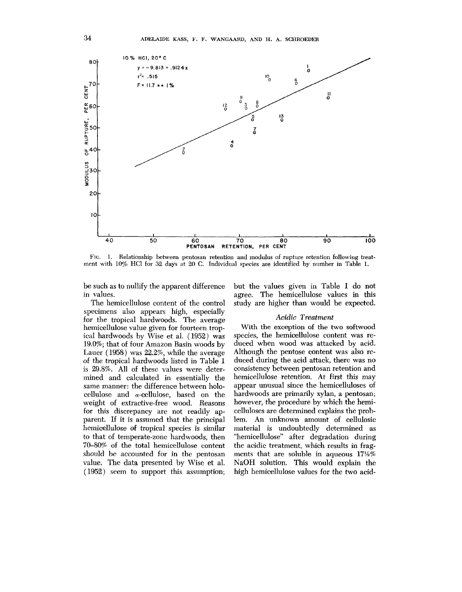

**FIG.** 1. Relationship between pentosan retention and modulus of rupture retention following treatment with 10% HC1 for **32** days at 20 C. Individual species are identified by number in Table 1.

be such as to nullify the apparent difference in values.

The hemicellulose content of the control specimens also appears high, especially for the tropical hardwoods. The average hemicellulose value given for fourteen tropical hardwoods by Wise et al. (1952) was 19.0%; that of four Amazon Basin woods by Lauer ( 1958) was 22.2%, while the average of the tropical hardwoods listed in Table **1**  is 29.8%. All of these values were determined and calculated in essentially the same manner: the difference between holocellulose and  $\alpha$ -cellulose, based on the weight of extractive-free wood. Reasons for this discrepancy are not readily apparent. If it is assumed that the principal hemicellulose of tropical species is similar to that of temperate-zone hardwoods, then **7040%** of the total hemicellulose content should be accounted for in the pentosan value. The data presented by Wise et al. (1952) seem to support this assumption;

but the values given in Table 1 do not agree. The hemicellulose values in this study are higher than would be expected.

#### *Acidic Treatment*

With the exception of the two softwood species, the hemicellulose content was reduced when wood was attacked by acid. Although the pentose content was also reduced during the acid attack, there was no consistency between pentosan retention and hemicellulose retention. At first this may appear unusual since the hemicelluloses of hardwoods are primarily xylan, a pentosan; however, the procedure by which the hemicelluloses are determined explains the problem. An unknown amount of cellulosic material is undoubtedly determined as "hemicellulose" after degradation during the acidic treatment, which results in fragments that are soluble in aqueous **17%%**  NaOH solution. This would explain the high hemicellulose values for the two acid-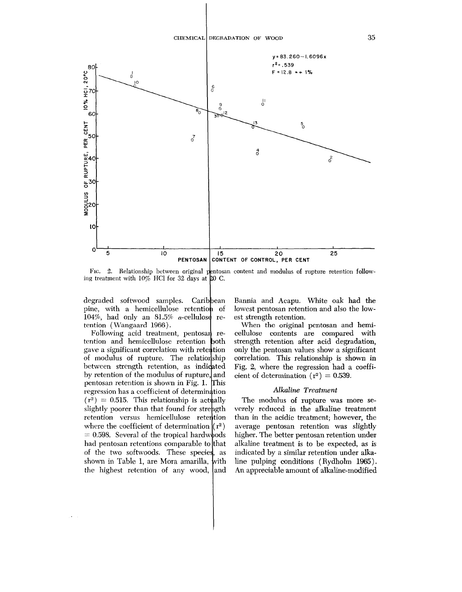

FIG. 2. Relationship between original pentosan content and modulus of rupture retention following treatment with  $10\%$  HCl for 32 days at 20 C.

degraded softwood samples. Cari pine, with a hemicellulose retention of 104%, had only an  $81.5\%$   $\alpha$ -cellulose retention ( Wangaard 1966).

Following acid treatment, pentosan retention and hemicellulose retention gave a significant correlation with re of modulus of rupture. The relat between strength retention, as in by retention of the modulus of rupt pentosan retention is shown in Fig. regression has a coefficient of dete  $(r^2) = 0.515$ . This relationship is actually slightly poorer than that found for strength retention versus hemicellul where the coefficient of determination  $(r^2)$  $= 0.598$ . Several of the tropical hardwoods had pentosan retentions comparable to that of the two softwoods. These shown in Table 1, are Mora a with the highest retention of an and Bannia and Acapu. White oak had the lowest pentosan retention and also the lowest strength retention.

When the original pentosan and hemicellulose contents are compared with strength retention after acid degradation, only the pentosan values show a significant correlation. This relationship is shown in Fig. *2,* where the regression had a coefficient of determination  $(r^2) = 0.539$ .

### *Alkaline Treatment*

The modulus of rupture **was** more severely reduced in the alkaline treatment than in the acidic treatment; however, the average pentosan retention was slightly higher. The better pentosan retention under alkaline treatment is to be expected, as is indicated by a similar retention under alkaline pulping conditions (Rydholm 1965). An appreciable amount of alkaline-modified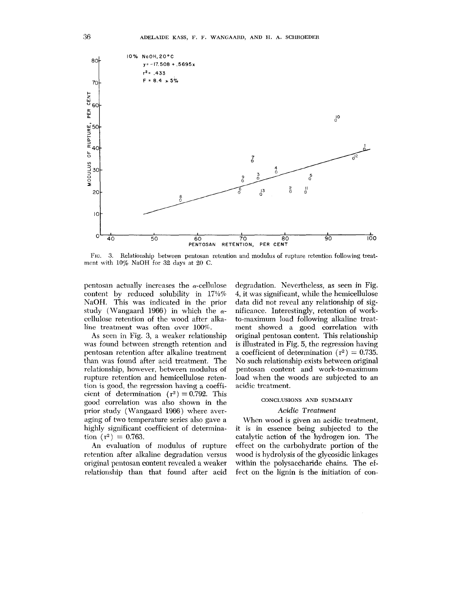

FIG. 3. Relationship between pentosan retention and modulus of rupture retention following treatment with 10% NaOH for *32* days at 20 C.

pentosan actually increases the  $\alpha$ -cellulose content by reduced solubility in  $17\frac{1}{2}\%$ NaOH. This was indicated in the prior study (Wangaard 1966) in which the *a*cellulose retention of the wood after alkaline treatment was often over 100%.

As seen in Fig. **3,** a weaker relationship was found between strength retention and pentosan retention after alkaline treatment than was found after acid treatment. The relationship, however, between modulus of rupture retention and hemicellulose retention is good, the regression having a coefficient of determination  $(r^2) = 0.792$ . This good correlation was also shown in the prior study (Wangaard 1966) where averaging of two temperature series also gave a highly significant coefficient of determination  $(r^2) = 0.763$ .

An evaluation of modulus of rupture retention after alkaline degradation versus original pentosan content revealed a weaker relationship than that found after acid

degradation. Nevertheless, as seen in Fig. 4, it was significant, while the hemicellulose data did not reveal any relationship of significance. Interestingly, retention of workto-maximum load following alkaline treatment showed a good correlation with original pentosan content. This relationship is illustrated in Fig. *5,* the regression having a coefficient of determination ( $r^2$ ) = 0.735. No such relationship exists between original pentosan content and work-to-maximum load when the woods are subjected to an acidic treatment.

### CONCLUSIONS AND SUMMARY

### **Acidic T~eatment**

When wood is given an acidic treatment, it is in essence being subjected to the catalytic action of the hydrogen ion. The effect on the carbohydrate portion of the wood is hydrolysis of the glycosidic linkages within the polysaccharide chains. The effect on the lignin is the initiation of con-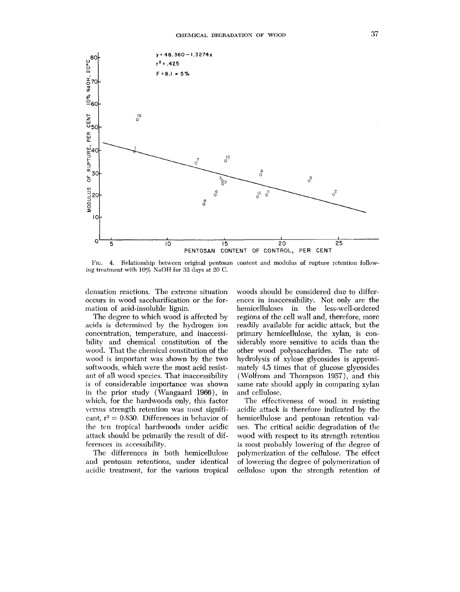

**FIG. 4.** Relationship between original pentosan content and modulus of rupture retention following treatment with 10% NaOH for *32* days at 20 **C.** 

densation reactions. The extreme situation occurs in wood saccharification or the formation of acid-insoluble lignin.

The degree to which wood is affected by acids is determined by the hydrogen ion concentration, temperature, and inaccessibility and chemical constitution of the wood. That the chemical constitution of the wood is important was shown by the two softwoods, which were the most acid resistant of all wood species. That inaccessibility is of considerable importance was shown in the prior study (Wangaard 1966), in which, for the hardwoods only, this factor versus strength retention was most significant,  $r^2 = 0.830$ . Differences in behavior of the ten tropical hardwoods under acidic attack should be primarily the result of differences in accessibility.

The differences in both hemicellulose and pentosan retentions, under identical acidic treatment, for the various tropical

woods should be considered due to differences in inaccessibility. Not only are the hemicelluloses in the less-well-ordered regions of the cell wall and, therefore, more readily available for acidic attack, but the primary hemicellulose, the xylan, is considerably more sensitive to acids than the other wood polysaccharides. The rate of hydrolysis of xylose glycosides is approximately 4.5 times that of glucose glycosides (Wolfrom and Thompson 1957), and this same rate should apply in comparing xylan and cellulose.

The effectiveness of wood in resisting acidic attack is therefore indicated by the hemicellulose and pentosan retention values. The critical acidic degradation of the wood with respect to its strength retention is most probably lowering of the degree of polymerization of the cellulose. The effect of lowering the degree of polymerization of cellulose upon the strength retention of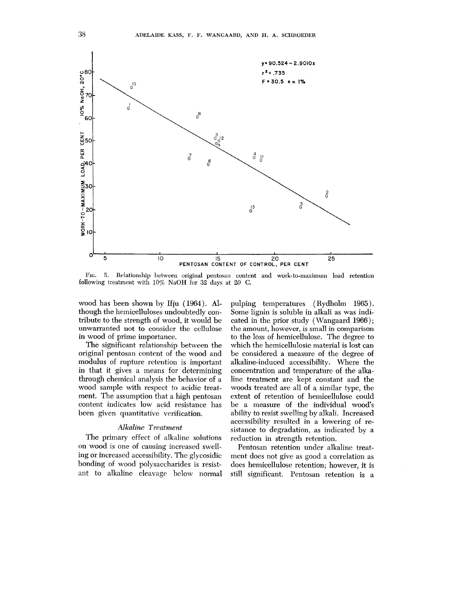

FIG. 5. Relationship between original pentosan content and work-to-maximum load retention following treatment with 10% NaOH for **32** days at 20 C.

wood has been shown by Ifju (1964). Although the hemicelluloses undoubtedly contribute to the strength of wood, it would be unwarranted not to consider the cellulose in wood of prime importance.

The significant relationship between the original pentosan content of the wood and modulus of rupture retention is important in that it gives a means for determining through chemical analysis the behavior of a wood sample with respect to acidic treatment. The assumption that a high pentosan content indicates low acid resistance has been given quantitative verification.

# *Alkaline Treatment*

The primary effect of alkaline solutions on wood is one of causing increased swelling or increased accessibility. The glycosidic bonding of wood polysaccharides is resistant to alkaline cleavage below normal pulping temperatures (Rydholm 1965). Some lignin is soluble in alkali as was indicated in the prior study ( Wangaard 1966); the amount, however, is small in comparison to the loss of hemicellulose. The degree to which the hemicellulosic material is lost can be considered a measure of the degree of alkaline-induced accessibility. Where the concentration and temperature of the alkaline treatment are kept constant and the woods treated are all of a similar type, the extent of retention of hemicellulose could be a measure of the individual wood's ability to resist swelling by alkali. Increased accessibility resulted in a lowering of resistance to degradation, as indicated by a reduction in strength retention.

Pentosan retention under alkaline treatment does not give as good a correlation as does hemicellulose retention; however, it is still significant. Pentosan retention is a